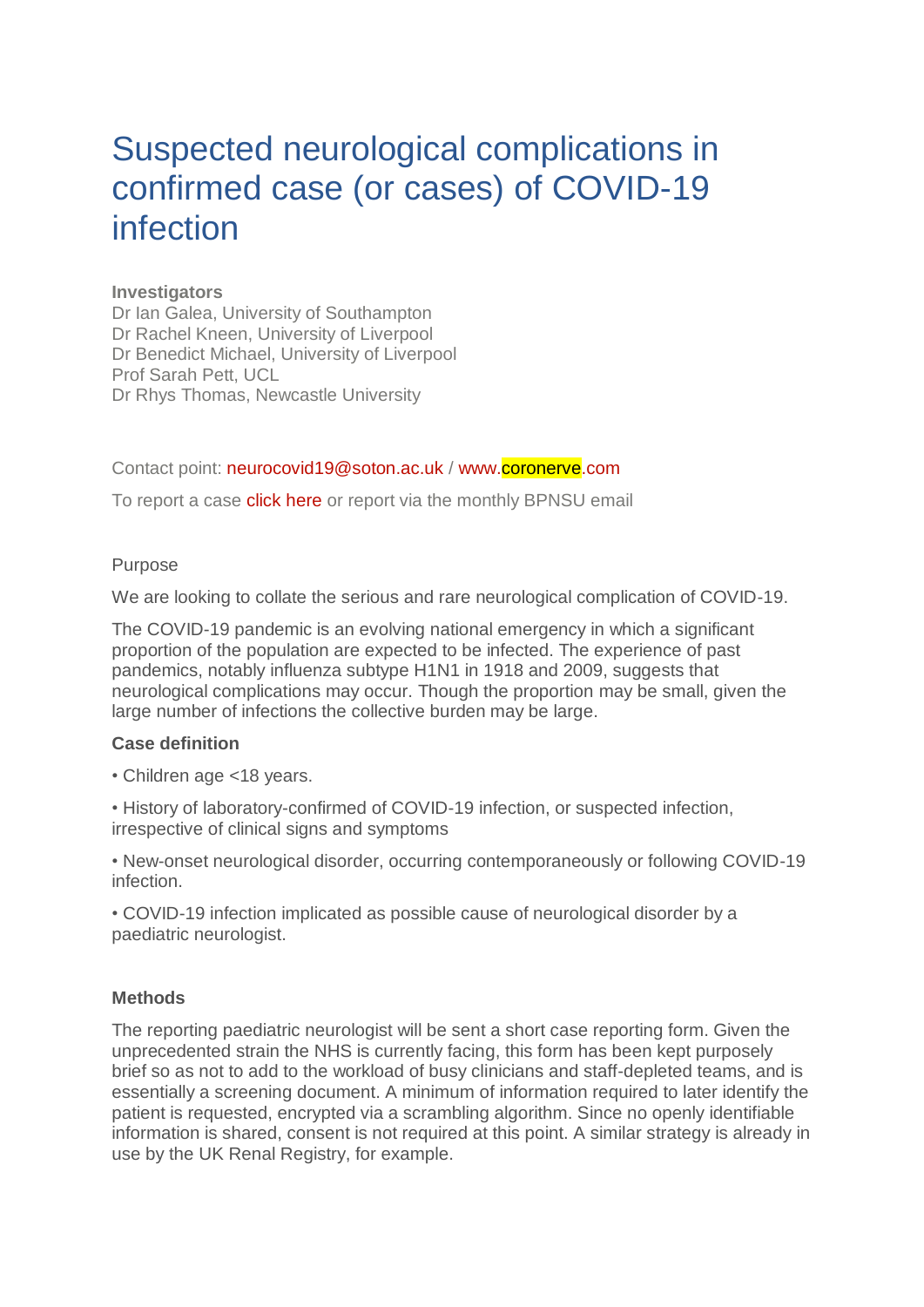# Suspected neurological complications in confirmed case (or cases) of COVID-19 infection

## **Investigators**

Dr Ian Galea, University of Southampton Dr Rachel Kneen, University of Liverpool Dr Benedict Michael, University of Liverpool Prof Sarah Pett, UCL Dr Rhys Thomas, Newcastle University

Contact point: [neurocovid19@soton.ac.uk](mailto:neurocovid19@soton.ac.uk) / [www.coronerve.com](https://www.theabn.org/page/www.coronerve.com)

To report a case **click here** or report via the monthly BPNSU email

### Purpose

We are looking to collate the serious and rare neurological complication of COVID-19.

The COVID-19 pandemic is an evolving national emergency in which a significant proportion of the population are expected to be infected. The experience of past pandemics, notably influenza subtype H1N1 in 1918 and 2009, suggests that neurological complications may occur. Though the proportion may be small, given the large number of infections the collective burden may be large.

### **Case definition**

• Children age <18 years.

• History of laboratory-confirmed of COVID-19 infection, or suspected infection, irrespective of clinical signs and symptoms

• New-onset neurological disorder, occurring contemporaneously or following COVID-19 infection.

• COVID-19 infection implicated as possible cause of neurological disorder by a paediatric neurologist.

### **Methods**

The reporting paediatric neurologist will be sent a short case reporting form. Given the unprecedented strain the NHS is currently facing, this form has been kept purposely brief so as not to add to the workload of busy clinicians and staff-depleted teams, and is essentially a screening document. A minimum of information required to later identify the patient is requested, encrypted via a scrambling algorithm. Since no openly identifiable information is shared, consent is not required at this point. A similar strategy is already in use by the UK Renal Registry, for example.